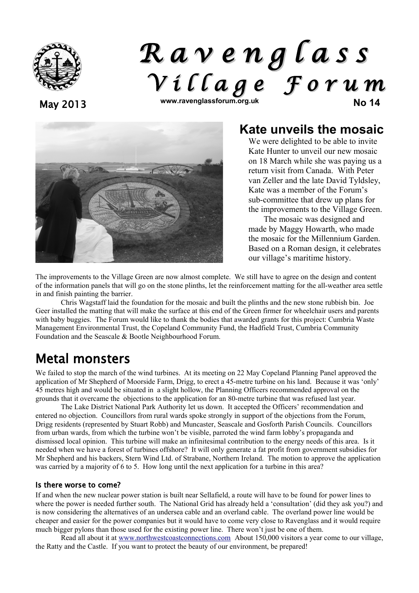

# *R a v e n g l a s s V i l l a g e F o r u m* May 2013 **www.ravenglassforum.org.uk No 14**



### **Kate unveils the mosaic**

We were delighted to be able to invite Kate Hunter to unveil our new mosaic on 18 March while she was paying us a return visit from Canada. With Peter van Zeller and the late David Tyldsley, Kate was a member of the Forum's sub-committee that drew up plans for the improvements to the Village Green.

The mosaic was designed and made by Maggy Howarth, who made the mosaic for the Millennium Garden. Based on a Roman design, it celebrates our village's maritime history.

The improvements to the Village Green are now almost complete. We still have to agree on the design and content of the information panels that will go on the stone plinths, let the reinforcement matting for the all-weather area settle in and finish painting the barrier.

Chris Wagstaff laid the foundation for the mosaic and built the plinths and the new stone rubbish bin. Joe Geer installed the matting that will make the surface at this end of the Green firmer for wheelchair users and parents with baby buggies. The Forum would like to thank the bodies that awarded grants for this project: Cumbria Waste Management Environmental Trust, the Copeland Community Fund, the Hadfield Trust, Cumbria Community Foundation and the Seascale & Bootle Neighbourhood Forum.

## Metal monsters

We failed to stop the march of the wind turbines. At its meeting on 22 May Copeland Planning Panel approved the application of Mr Shepherd of Moorside Farm, Drigg, to erect a 45-metre turbine on his land. Because it was 'only' 45 metres high and would be situated in a slight hollow, the Planning Officers recommended approval on the grounds that it overcame the objections to the application for an 80-metre turbine that was refused last year.

The Lake District National Park Authority let us down. It accepted the Officers' recommendation and entered no objection. Councillors from rural wards spoke strongly in support of the objections from the Forum, Drigg residents (represented by Stuart Robb) and Muncaster, Seascale and Gosforth Parish Councils. Councillors from urban wards, from which the turbine won't be visible, parroted the wind farm lobby's propaganda and dismissed local opinion. This turbine will make an infinitesimal contribution to the energy needs of this area. Is it needed when we have a forest of turbines offshore? It will only generate a fat profit from government subsidies for Mr Shepherd and his backers, Stern Wind Ltd. of Strabane, Northern Ireland. The motion to approve the application was carried by a majority of 6 to 5. How long until the next application for a turbine in this area?

#### Is there worse to come?

If and when the new nuclear power station is built near Sellafield, a route will have to be found for power lines to where the power is needed further south. The National Grid has already held a 'consultation' (did they ask you?) and is now considering the alternatives of an undersea cable and an overland cable. The overland power line would be cheaper and easier for the power companies but it would have to come very close to Ravenglass and it would require much bigger pylons than those used for the existing power line. There won't just be one of them.

Read all about it at [www.northwestcoastconnections.com](http://www.northwestcoastconnections.com/) About 150,000 visitors a year come to our village, the Ratty and the Castle. If you want to protect the beauty of our environment, be prepared!